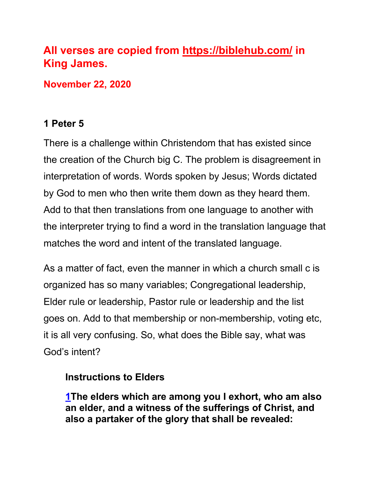# **All verses are copied from https://biblehub.com/ in King James.**

**November 22, 2020**

# **1 Peter 5**

There is a challenge within Christendom that has existed since the creation of the Church big C. The problem is disagreement in interpretation of words. Words spoken by Jesus; Words dictated by God to men who then write them down as they heard them. Add to that then translations from one language to another with the interpreter trying to find a word in the translation language that matches the word and intent of the translated language.

As a matter of fact, even the manner in which a church small c is organized has so many variables; Congregational leadership, Elder rule or leadership, Pastor rule or leadership and the list goes on. Add to that membership or non-membership, voting etc, it is all very confusing. So, what does the Bible say, what was God's intent?

# **Instructions to Elders**

**1The elders which are among you I exhort, who am also an elder, and a witness of the sufferings of Christ, and also a partaker of the glory that shall be revealed:**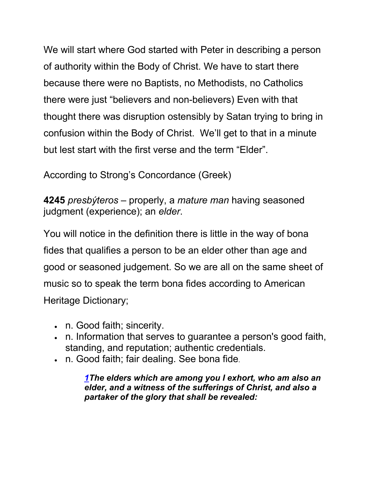We will start where God started with Peter in describing a person of authority within the Body of Christ. We have to start there because there were no Baptists, no Methodists, no Catholics there were just "believers and non-believers) Even with that thought there was disruption ostensibly by Satan trying to bring in confusion within the Body of Christ. We'll get to that in a minute but lest start with the first verse and the term "Elder".

According to Strong's Concordance (Greek)

**4245** *presbýteros* – properly, a *mature man* having seasoned judgment (experience); an *elder*.

You will notice in the definition there is little in the way of bona fides that qualifies a person to be an elder other than age and good or seasoned judgement. So we are all on the same sheet of music so to speak the term bona fides according to American Heritage Dictionary;

- n. Good faith; sincerity.
- n. Information that serves to guarantee a person's good faith, standing, and reputation; authentic credentials.
- n. Good faith; fair dealing. See bona fide.

*1The elders which are among you I exhort, who am also an elder, and a witness of the sufferings of Christ, and also a partaker of the glory that shall be revealed:*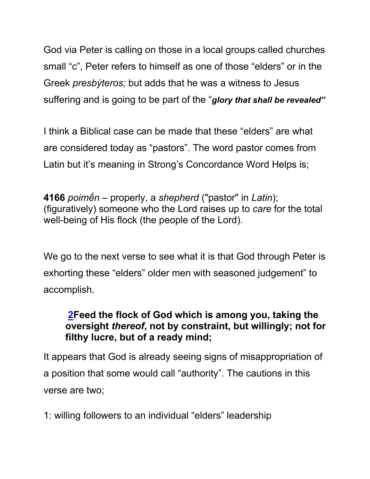God via Peter is calling on those in a local groups called churches small "c", Peter refers to himself as one of those "elders" or in the Greek *presbýteros;* but adds that he was a witness to Jesus suffering and is going to be part of the "*glory that shall be revealed"*

I think a Biblical case can be made that these "elders" are what are considered today as "pastors". The word pastor comes from Latin but it's meaning in Strong's Concordance Word Helps is;

**4166** *poimḗn* – properly, a *shepherd* ("pastor" in *Latin*); (figuratively) someone who the Lord raises up to *care* for the total well-being of His flock (the people of the Lord).

We go to the next verse to see what it is that God through Peter is exhorting these "elders" older men with seasoned judgement" to accomplish.

# **2Feed the flock of God which is among you, taking the oversight** *thereof***, not by constraint, but willingly; not for filthy lucre, but of a ready mind;**

It appears that God is already seeing signs of misappropriation of a position that some would call "authority". The cautions in this verse are two;

1: willing followers to an individual "elders" leadership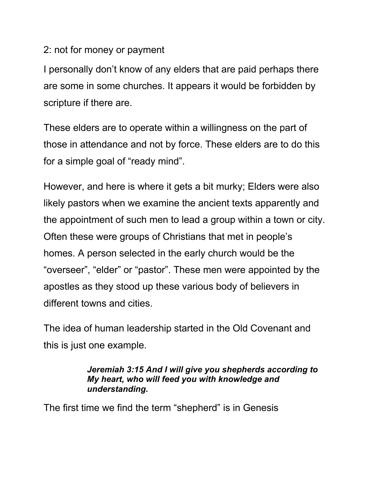### 2: not for money or payment

I personally don't know of any elders that are paid perhaps there are some in some churches. It appears it would be forbidden by scripture if there are.

These elders are to operate within a willingness on the part of those in attendance and not by force. These elders are to do this for a simple goal of "ready mind".

However, and here is where it gets a bit murky; Elders were also likely pastors when we examine the ancient texts apparently and the appointment of such men to lead a group within a town or city. Often these were groups of Christians that met in people's homes. A person selected in the early church would be the "overseer", "elder" or "pastor". These men were appointed by the apostles as they stood up these various body of believers in different towns and cities.

The idea of human leadership started in the Old Covenant and this is just one example.

### *Jeremiah 3:15 And I will give you shepherds according to My heart, who will feed you with knowledge and understanding.*

The first time we find the term "shepherd" is in Genesis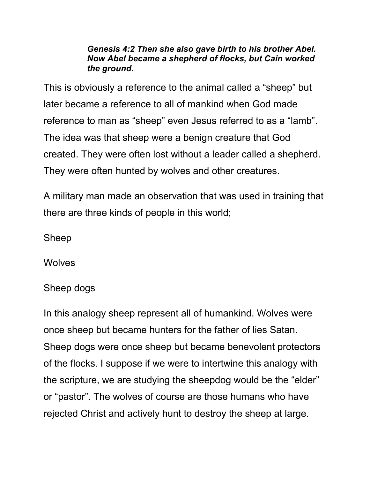#### *Genesis 4:2 Then she also gave birth to his brother Abel. Now Abel became a shepherd of flocks, but Cain worked the ground.*

This is obviously a reference to the animal called a "sheep" but later became a reference to all of mankind when God made reference to man as "sheep" even Jesus referred to as a "lamb". The idea was that sheep were a benign creature that God created. They were often lost without a leader called a shepherd. They were often hunted by wolves and other creatures.

A military man made an observation that was used in training that there are three kinds of people in this world;

Sheep

**Wolves** 

### Sheep dogs

In this analogy sheep represent all of humankind. Wolves were once sheep but became hunters for the father of lies Satan. Sheep dogs were once sheep but became benevolent protectors of the flocks. I suppose if we were to intertwine this analogy with the scripture, we are studying the sheepdog would be the "elder" or "pastor". The wolves of course are those humans who have rejected Christ and actively hunt to destroy the sheep at large.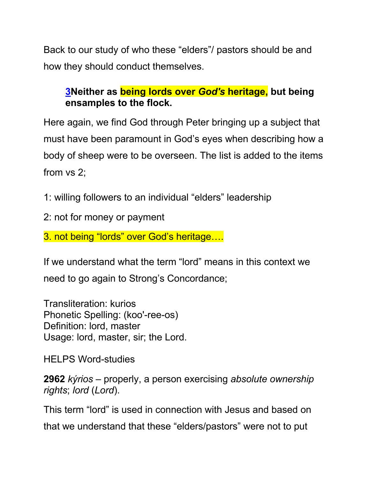Back to our study of who these "elders"/ pastors should be and how they should conduct themselves.

# **3Neither as being lords over** *God's* **heritage, but being ensamples to the flock.**

Here again, we find God through Peter bringing up a subject that must have been paramount in God's eyes when describing how a body of sheep were to be overseen. The list is added to the items from vs 2;

1: willing followers to an individual "elders" leadership

2: not for money or payment

3. not being "lords" over God's heritage….

If we understand what the term "lord" means in this context we need to go again to Strong's Concordance;

Transliteration: kurios Phonetic Spelling: (koo'-ree-os) Definition: lord, master Usage: lord, master, sir; the Lord.

HELPS Word-studies

**2962** *kýrios* – properly, a person exercising *absolute ownership rights*; *lord* (*Lord*).

This term "lord" is used in connection with Jesus and based on that we understand that these "elders/pastors" were not to put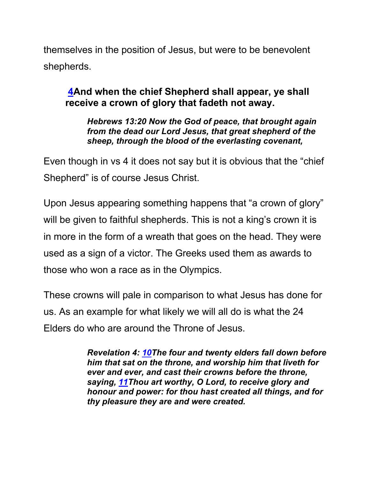themselves in the position of Jesus, but were to be benevolent shepherds.

# **4And when the chief Shepherd shall appear, ye shall receive a crown of glory that fadeth not away.**

*Hebrews 13:20 Now the God of peace, that brought again from the dead our Lord Jesus, that great shepherd of the sheep, through the blood of the everlasting covenant,*

Even though in vs 4 it does not say but it is obvious that the "chief Shepherd" is of course Jesus Christ.

Upon Jesus appearing something happens that "a crown of glory" will be given to faithful shepherds. This is not a king's crown it is in more in the form of a wreath that goes on the head. They were used as a sign of a victor. The Greeks used them as awards to those who won a race as in the Olympics.

These crowns will pale in comparison to what Jesus has done for us. As an example for what likely we will all do is what the 24 Elders do who are around the Throne of Jesus.

> *Revelation 4: 10The four and twenty elders fall down before him that sat on the throne, and worship him that liveth for ever and ever, and cast their crowns before the throne, saying, 11Thou art worthy, O Lord, to receive glory and honour and power: for thou hast created all things, and for thy pleasure they are and were created.*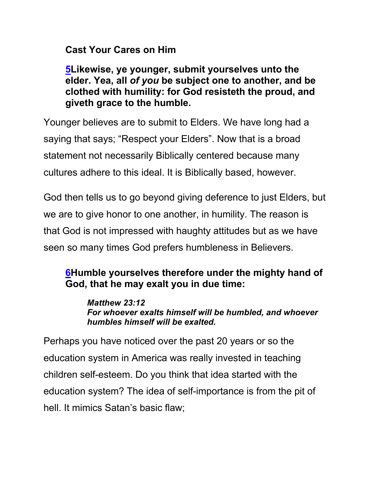**Cast Your Cares on Him**

**5Likewise, ye younger, submit yourselves unto the elder. Yea, all** *of you* **be subject one to another, and be clothed with humility: for God resisteth the proud, and giveth grace to the humble.**

Younger believes are to submit to Elders. We have long had a saying that says; "Respect your Elders". Now that is a broad statement not necessarily Biblically centered because many cultures adhere to this ideal. It is Biblically based, however.

God then tells us to go beyond giving deference to just Elders, but we are to give honor to one another, in humility. The reason is that God is not impressed with haughty attitudes but as we have seen so many times God prefers humbleness in Believers.

# **6Humble yourselves therefore under the mighty hand of God, that he may exalt you in due time:**

*Matthew 23:12 For whoever exalts himself will be humbled, and whoever humbles himself will be exalted.*

Perhaps you have noticed over the past 20 years or so the education system in America was really invested in teaching children self-esteem. Do you think that idea started with the education system? The idea of self-importance is from the pit of hell. It mimics Satan's basic flaw;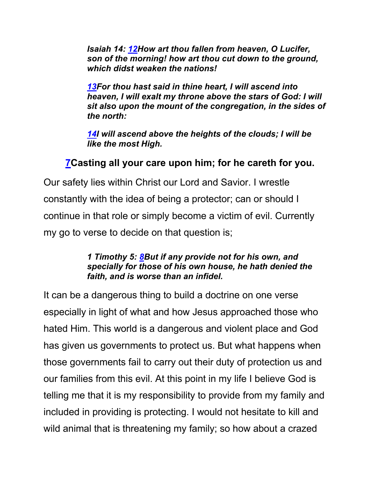*Isaiah 14: 12How art thou fallen from heaven, O Lucifer, son of the morning! how art thou cut down to the ground, which didst weaken the nations!*

*13For thou hast said in thine heart, I will ascend into heaven, I will exalt my throne above the stars of God: I will sit also upon the mount of the congregation, in the sides of the north:*

*14I will ascend above the heights of the clouds; I will be like the most High.*

# **7Casting all your care upon him; for he careth for you.**

Our safety lies within Christ our Lord and Savior. I wrestle constantly with the idea of being a protector; can or should I continue in that role or simply become a victim of evil. Currently my go to verse to decide on that question is;

#### *1 Timothy 5: 8But if any provide not for his own, and specially for those of his own house, he hath denied the faith, and is worse than an infidel.*

It can be a dangerous thing to build a doctrine on one verse especially in light of what and how Jesus approached those who hated Him. This world is a dangerous and violent place and God has given us governments to protect us. But what happens when those governments fail to carry out their duty of protection us and our families from this evil. At this point in my life I believe God is telling me that it is my responsibility to provide from my family and included in providing is protecting. I would not hesitate to kill and wild animal that is threatening my family; so how about a crazed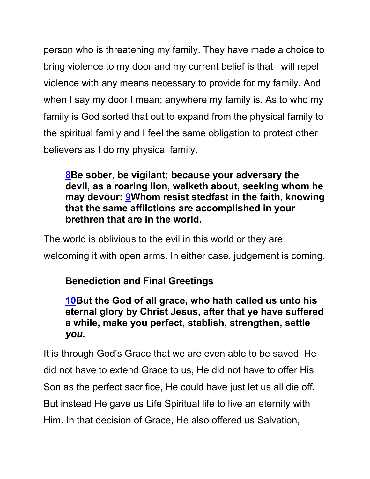person who is threatening my family. They have made a choice to bring violence to my door and my current belief is that I will repel violence with any means necessary to provide for my family. And when I say my door I mean; anywhere my family is. As to who my family is God sorted that out to expand from the physical family to the spiritual family and I feel the same obligation to protect other believers as I do my physical family.

**8Be sober, be vigilant; because your adversary the devil, as a roaring lion, walketh about, seeking whom he may devour: 9Whom resist stedfast in the faith, knowing that the same afflictions are accomplished in your brethren that are in the world.**

The world is oblivious to the evil in this world or they are welcoming it with open arms. In either case, judgement is coming.

**Benediction and Final Greetings**

**10But the God of all grace, who hath called us unto his eternal glory by Christ Jesus, after that ye have suffered a while, make you perfect, stablish, strengthen, settle**  *you***.**

It is through God's Grace that we are even able to be saved. He did not have to extend Grace to us, He did not have to offer His Son as the perfect sacrifice, He could have just let us all die off. But instead He gave us Life Spiritual life to live an eternity with Him. In that decision of Grace, He also offered us Salvation,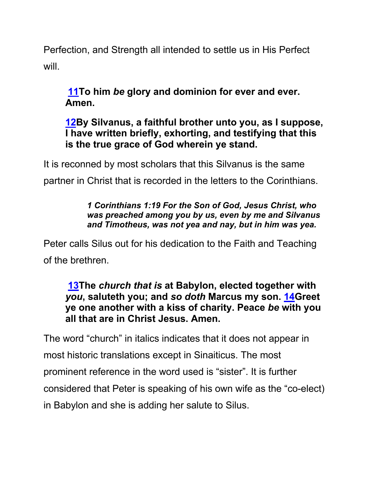Perfection, and Strength all intended to settle us in His Perfect will.

**11To him** *be* **glory and dominion for ever and ever. Amen.**

**12By Silvanus, a faithful brother unto you, as I suppose, I have written briefly, exhorting, and testifying that this is the true grace of God wherein ye stand.**

It is reconned by most scholars that this Silvanus is the same

partner in Christ that is recorded in the letters to the Corinthians.

### *1 Corinthians 1:19 For the Son of God, Jesus Christ, who was preached among you by us, even by me and Silvanus and Timotheus, was not yea and nay, but in him was yea.*

Peter calls Silus out for his dedication to the Faith and Teaching of the brethren.

## **13The** *church that is* **at Babylon, elected together with**  *you***, saluteth you; and** *so doth* **Marcus my son. 14Greet ye one another with a kiss of charity. Peace** *be* **with you all that are in Christ Jesus. Amen.**

The word "church" in italics indicates that it does not appear in most historic translations except in Sinaiticus. The most prominent reference in the word used is "sister". It is further considered that Peter is speaking of his own wife as the "co-elect) in Babylon and she is adding her salute to Silus.